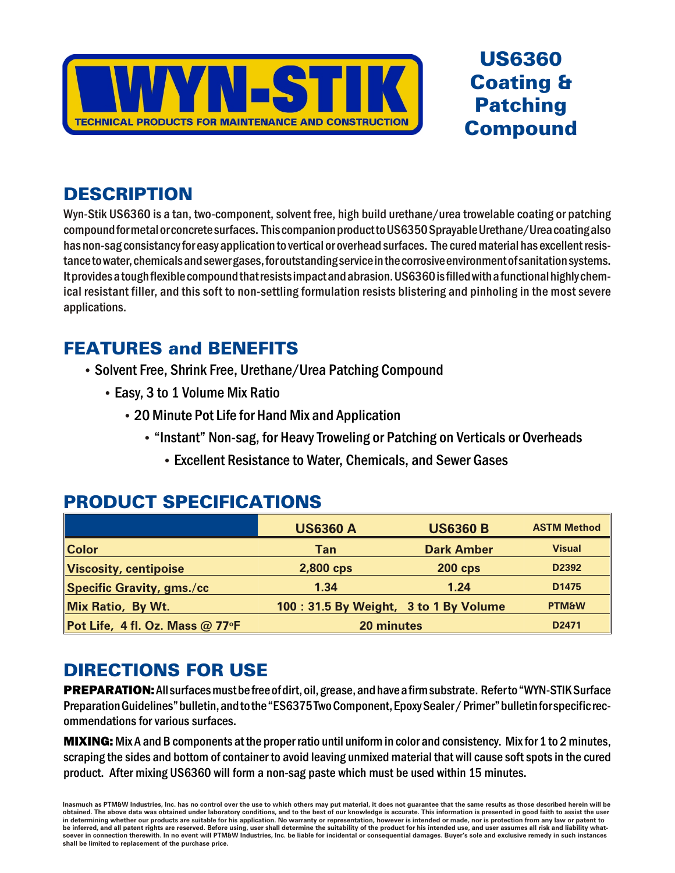

## **US6360 Coating & Patching Compound**

### **DESCRIPTION**

Wyn-Stik US6360 is a tan, two-component, solvent free, high build urethane/urea trowelable coating or patching compound for metal or concrete surfaces. This companion product to US6350 Sprayable Urethane/Urea coating also has non-sag consistancy for easy application to vertical or overhead surfaces. The cured material has excellent resistance to water, chemicals and sewer gases, for outstanding service in the corrosive environment of sanitation systems. It provides a tough flexible compound that resists impact and abrasion. US6360 is filled with a functional highly chemical resistant filler, and this soft to non-settling formulation resists blistering and pinholing in the most severe applications.

## **FEATURES and BENEFITS**

- Solvent Free, Shrink Free, Urethane/Urea Patching Compound
	- Easy, 3 to 1 Volume Mix Ratio
		- 20 Minute Pot Life for Hand Mix and Application
			- "Instant" Non-sag, for Heavy Troweling or Patching on Verticals or Overheads
				- Excellent Resistance to Water, Chemicals, and Sewer Gases

|                                   | <b>US6360 A</b> | <b>US6360 B</b>                       | <b>ASTM Method</b> |
|-----------------------------------|-----------------|---------------------------------------|--------------------|
| <b>Color</b>                      | Tan             | <b>Dark Amber</b>                     | <b>Visual</b>      |
| <b>Viscosity, centipoise</b>      | 2,800 cps       | <b>200 cps</b>                        | D2392              |
| Specific Gravity, gms./cc         | 1.34            | 1.24                                  | D1475              |
| Mix Ratio, By Wt.                 |                 | 100: 31.5 By Weight, 3 to 1 By Volume | <b>PTM&amp;W</b>   |
| Pot Life, 4 fl. Oz. Mass $@$ 77°F | 20 minutes      |                                       | D2471              |

#### **PRODUCT SPECIFICATIONS**

## **DIRECTIONS FOR USE**

PREPARATION: All surfaces must be free of dirt, oil, grease, and have a firm substrate. Refer to "WYN-STIK Surface Preparation Guidelines" bulletin, and to the "ES6375 Two Component, Epoxy Sealer / Primer" bulletin for specific recommendations for various surfaces.

**MIXING:** Mix A and B components at the proper ratio until uniform in color and consistency. Mix for 1 to 2 minutes, scraping the sides and bottom of container to avoid leaving unmixed material that will cause soft spots in the cured product. After mixing US6360 will form a non-sag paste which must be used within 15 minutes.

Inasmuch as PTM&W Industries, Inc. has no control over the use to which others may put material, it does not guarantee that the same results as those described herein will be obtained. The above data was obtained under laboratory conditions, and to the best of our knowledge is accurate. This information is presented in good faith to assist the user .<br>In determining whether our products are suitable for his application. No warranty or representation, however is intended or made, nor is protection from any law or patent to be inferred, and all patent rights are reserved. Before using, user shall determine the suitability of the product for his intended use, and user assumes all risk and liability whatsoever in connection therewith. In no event will PTM&W Industries, Inc. be liable for incidental or consequential damages. Buyer's sole and exclusive remedy in such instances shall be limited to replacement of the purchase price.